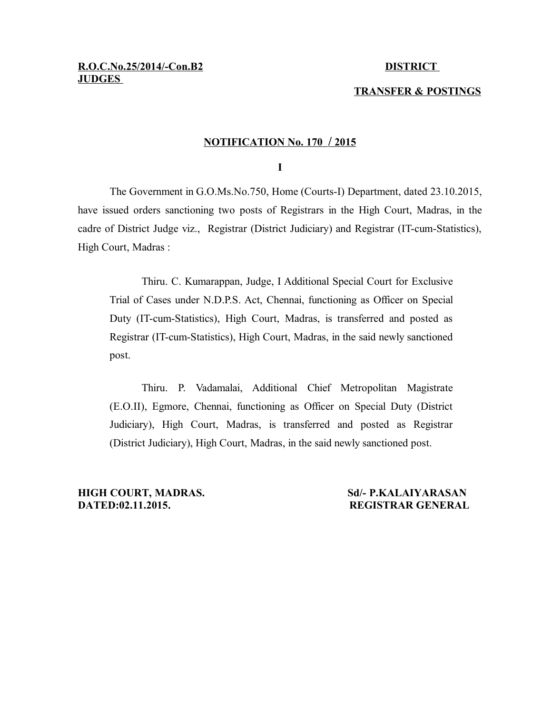# **TRANSFER & POSTINGS**

#### **NOTIFICATION No. 170 / 2015**

**I**

The Government in G.O.Ms.No.750, Home (Courts-I) Department, dated 23.10.2015, have issued orders sanctioning two posts of Registrars in the High Court, Madras, in the cadre of District Judge viz., Registrar (District Judiciary) and Registrar (IT-cum-Statistics), High Court, Madras :

Thiru. C. Kumarappan, Judge, I Additional Special Court for Exclusive Trial of Cases under N.D.P.S. Act, Chennai, functioning as Officer on Special Duty (IT-cum-Statistics), High Court, Madras, is transferred and posted as Registrar (IT-cum-Statistics), High Court, Madras, in the said newly sanctioned post.

Thiru. P. Vadamalai, Additional Chief Metropolitan Magistrate (E.O.II), Egmore, Chennai, functioning as Officer on Special Duty (District Judiciary), High Court, Madras, is transferred and posted as Registrar (District Judiciary), High Court, Madras, in the said newly sanctioned post.

**HIGH COURT, MADRAS. Sd/- P.KALAIYARASAN DATED:02.11.2015. REGISTRAR GENERAL**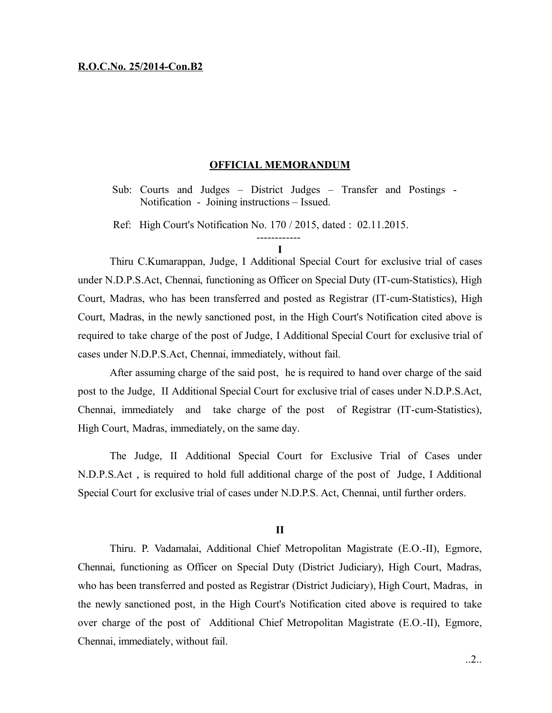### **R.O.C.No. 25/2014-Con.B2**

#### **OFFICIAL MEMORANDUM**

Sub: Courts and Judges – District Judges – Transfer and Postings - Notification - Joining instructions – Issued.

Ref: High Court's Notification No. 170 / 2015, dated : 02.11.2015.

# ------------ **I**

Thiru C.Kumarappan, Judge, I Additional Special Court for exclusive trial of cases under N.D.P.S.Act, Chennai, functioning as Officer on Special Duty (IT-cum-Statistics), High Court, Madras, who has been transferred and posted as Registrar (IT-cum-Statistics), High Court, Madras, in the newly sanctioned post, in the High Court's Notification cited above is required to take charge of the post of Judge, I Additional Special Court for exclusive trial of cases under N.D.P.S.Act, Chennai, immediately, without fail.

After assuming charge of the said post, he is required to hand over charge of the said post to the Judge, II Additional Special Court for exclusive trial of cases under N.D.P.S.Act, Chennai, immediately and take charge of the post of Registrar (IT-cum-Statistics), High Court, Madras, immediately, on the same day.

The Judge, II Additional Special Court for Exclusive Trial of Cases under N.D.P.S.Act , is required to hold full additional charge of the post of Judge, I Additional Special Court for exclusive trial of cases under N.D.P.S. Act, Chennai, until further orders.

## **II**

Thiru. P. Vadamalai, Additional Chief Metropolitan Magistrate (E.O.-II), Egmore, Chennai, functioning as Officer on Special Duty (District Judiciary), High Court, Madras, who has been transferred and posted as Registrar (District Judiciary), High Court, Madras, in the newly sanctioned post, in the High Court's Notification cited above is required to take over charge of the post of Additional Chief Metropolitan Magistrate (E.O.-II), Egmore, Chennai, immediately, without fail.